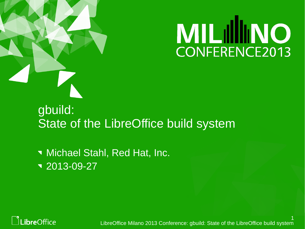

# **MILILIMO** CONFERENCE2013

#### gbuild: State of the LibreOffice build system

**Nichael Stahl, Red Hat, Inc.** 2013-09-27



1 LibreOffice Milano 2013 Conference: gbuild: State of the LibreOffice build system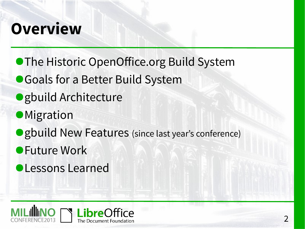## **Overview**

- **The Historic OpenOffice.org Build System**
- Goals for a Better Build System
- gbuild Architecture
- Migration
- ●gbuild New Features (since last year's conference)
- Future Work
- ●Lessons Learned

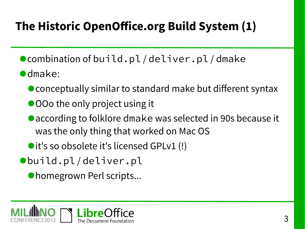## **The Historic OpenOffice.org Build System (1)**

- combination of build.pl/deliver.pl/dmake
- ●dmake:
	- conceptually similar to standard make but different syntax
	- OOo the only project using it
	- according to folklore dmake was selected in 90s because it was the only thing that worked on Mac OS
	- it's so obsolete it's licensed GPLv1 (!)
- ●build.pl / deliver.pl
	- homegrown Perl scripts...

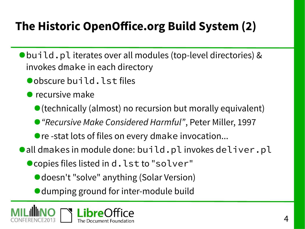## **The Historic OpenOffice.org Build System (2)**

- ●build.pl iterates over all modules (top-level directories) & invokes dmake in each directory
	- ●obscure build.lst files
	- $\bullet$  recursive make
		- (technically (almost) no recursion but morally equivalent)
		- "Recursive Make Considered Harmful", Peter Miller, 1997
		- re -stat lots of files on every dmake invocation...
- ●all dmakes in module done: build.pl invokes deliver.pl
	- copies files listed in d.lst to "solver"
		- doesn't "solve" anything (Solar Version)
		- dumping ground for inter-module build

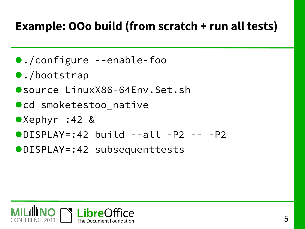#### **Example: OOo build (from scratch + run all tests)**

- ●./configure --enable-foo
- ●./bootstrap
- ●source LinuxX86-64Env.Set.sh
- ●cd smoketestoo native
- ●Xephyr :42 &
- $\bullet$ DISPLAY=:42 build --all -P2 -- -P2
- ●DISPLAY=:42 subsequenttests

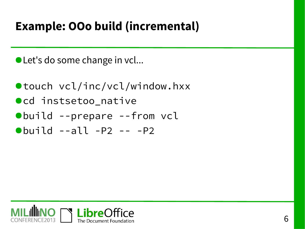#### **Example: OOo build (incremental)**

● Let's do some change in vcl...

- ●touch vcl/inc/vcl/window.hxx ●cd instsetoo\_native ●build --prepare --from vcl
- $\bullet$ build  $--all$   $-P2$   $- -P2$

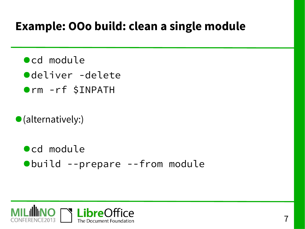#### **Example: OOo build: clean a single module**

- ●cd module
- ●deliver -delete
- ●rm -rf \$INPATH
- ●(alternatively:)
	- ●cd module ●build --prepare --from module

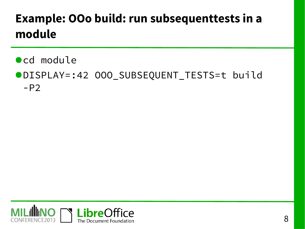### **Example: OOo build: run subsequenttests in a module**

●cd module

#### ●DISPLAY=:42 OOO\_SUBSEQUENT\_TESTS=t build  $-P2$

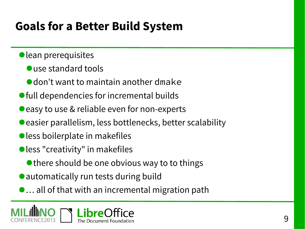#### **Goals for a Better Build System**

- ●lean prerequisites
	- use standard tools
	- don't want to maintain another dmake
- full dependencies for incremental builds
- easy to use & reliable even for non-experts
- easier parallelism, less bottlenecks, better scalability
- less boilerplate in makefiles
- less "creativity" in makefiles
	- there should be one obvious way to to things
- automatically run tests during build
- ●… all of that with an incremental migration path

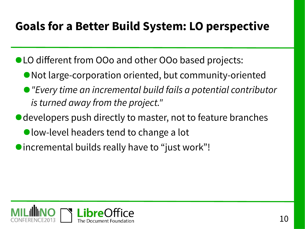#### **Goals for a Better Build System: LO perspective**

- ●LO different from OOo and other OOo based projects:
	- Not large-corporation oriented, but community-oriented
	- "Every time an incremental build fails a potential contributor is turned away from the project."
- developers push directly to master, not to feature branches
	- low-level headers tend to change a lot
- ●incremental builds really have to "just work"!

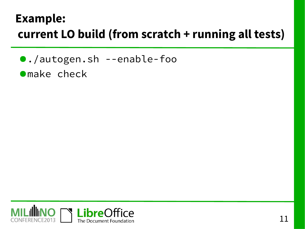#### **Example: current LO build (from scratch + running all tests)**

●./autogen.sh --enable-foo

●make check

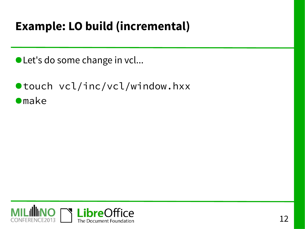#### **Example: LO build (incremental)**

● Let's do some change in vcl...

●touch vcl/inc/vcl/window.hxx **•**make

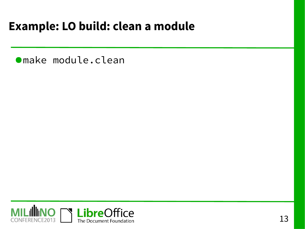#### **Example: LO build: clean a module**

●make module.clean

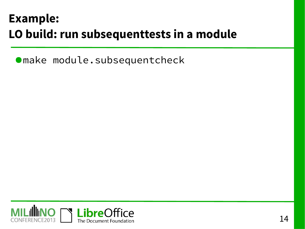#### **Example: LO build: run subsequenttests in a module**

●make module.subsequentcheck

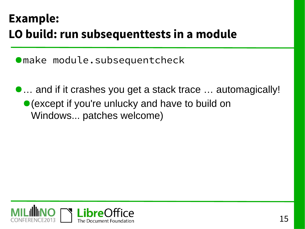#### **Example: LO build: run subsequenttests in a module**

●make module.subsequentcheck

●… and if it crashes you get a stack trace … automagically! ● (except if you're unlucky and have to build on Windows... patches welcome)

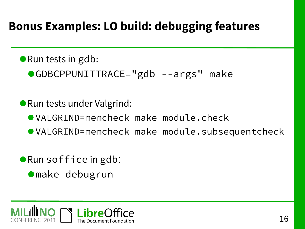#### **Bonus Examples: LO build: debugging features**

- Run tests in gdb:
	- ●GDBCPPUNITTRACE="gdb --args" make
- Run tests under Valgrind:
	- ●VALGRIND=memcheck make module.check
	- ●VALGRIND=memcheck make module.subsequentcheck
- Run soffice in gdb:
	- ●make debugrun

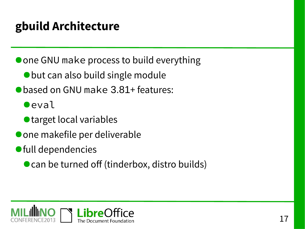#### **gbuild Architecture**

● one GNU make process to build everything

- ●but can also build single module
- based on GNU make 3.81+ features:
	- **O**eval
	- target local variables
- one makefile per deliverable
- ●full dependencies
	- can be turned off (tinderbox, distro builds)

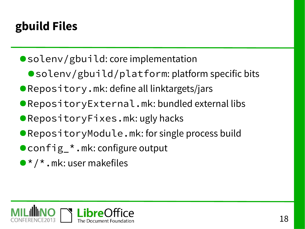#### **gbuild Files**

- solenv/gbuild: core implementation
	- solenv/gbuild/platform: platform specific bits
- ●Repository.mk: define all linktargets/jars
- ●RepositoryExternal.mk: bundled external libs
- ●RepositoryFixes.mk:ugly hacks
- ●RepositoryModule.mk: for single process build
- config\_\*.mk: configure output
- $\bullet \star / \star$ .mk: user makefiles

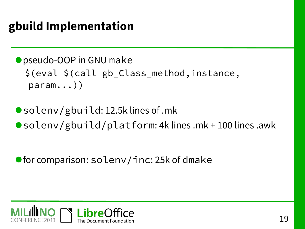#### **gbuild Implementation**

● pseudo-OOP in GNU make \$(eval \$(call gb\_Class\_method,instance, param...))

●solenv/gbuild: 12.5k lines of .mk ●solenv/gbuild/platform: 4k lines .mk + 100 lines .awk

● for comparison: solenv/inc: 25k of dmake

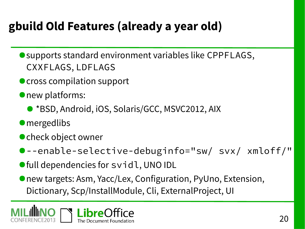## **gbuild Old Features (already a year old)**

- supports standard environment variables like CPPFLAGS, CXXFLAGS, LDFLAGS
- cross compilation support
- new platforms:
	- \*BSD, Android, iOS, Solaris/GCC, MSVC2012, AIX
- **•** mergedlibs
- check object owner
- ●--enable-selective-debuginfo="sw/ svx/ xmloff/"
- full dependencies for svidl, UNO IDL
- new targets: Asm, Yacc/Lex, Configuration, PyUno, Extension, Dictionary, Scp/InstallModule, Cli, ExternalProject, UI

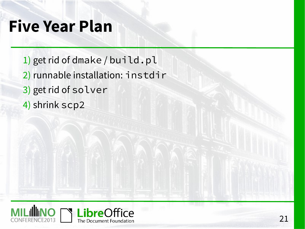## **Five Year Plan**

- 1) get rid of dmake / build.pl
- 2) runnable installation: instdir
- 3) get rid of solver
- 4) shrink scp2

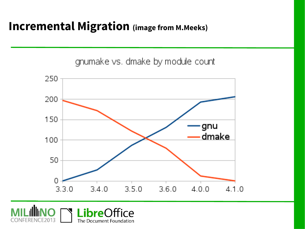#### **Incremental Migration (image from M.Meeks)**

gnumake vs. dmake by module count



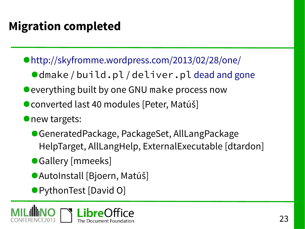## **Migration completed**

- ●<http://skyfromme.wordpress.com/2013/02/28/one/>
	- ●dmake/build.pl/deliver.pl [dead and gone](http://cgit.freedesktop.org/libreoffice/core/commit/?id=2b791f1cc51eaad25bd3464f94231fe4b236fae6)
- everything built by one GNU make process now
- converted last 40 modules [Peter, Matúš]
- **O**new targets:
	- GeneratedPackage, PackageSet, AllLangPackage HelpTarget, AllLangHelp, ExternalExecutable [dtardon]
	- ●Gallery [mmeeks]
	- AutoInstall [Bjoern, Matúš]
	- PythonTest [David O]

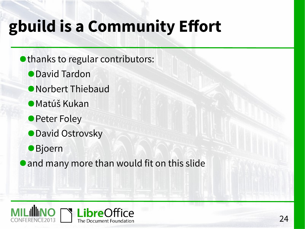# **gbuild is a Community Effort**

- thanks to regular contributors:
	- ●David Tardon
	- ●Norbert Thiebaud
	- ●Matúš Kukan
	- Peter Foley
	- ●David Ostrovsky
	- ●**Bjoern**
- and many more than would fit on this slide

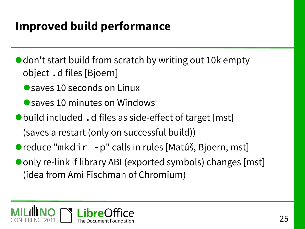#### **Improved build performance**

● don't start build from scratch by writing out 10k empty object .d files [Bjoern]

● saves 10 seconds on Linux

● saves 10 minutes on Windows

- ●build included.d files as side-effect of target [mst] (saves a restart (only on successful build))
- reduce "mkdir p" calls in rules [Matúš, Bjoern, mst]
- only re-link if library ABI (exported symbols) changes [mst] (idea from Ami Fischman of Chromium)

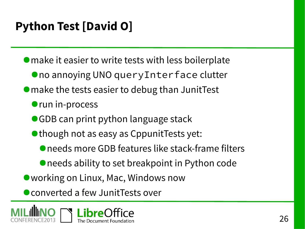#### **Python Test [David O]**

● make it easier to write tests with less boilerplate

- no annoying UNO queryInterface clutter
- make the tests easier to debug than JunitTest
	- run in-process
	- ●GDB can print python language stack
	- ●though not as easy as CppunitTests yet:
		- needs more GDB features like stack-frame filters
		- ●needs ability to set breakpoint in Python code
- working on Linux, Mac, Windows now

● converted a few JunitTests over

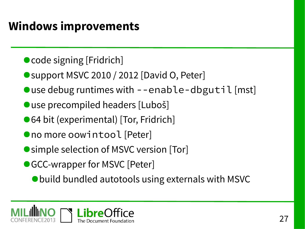#### **Windows improvements**

- code signing [Fridrich]
- support MSVC 2010 / 2012 [David O, Peter]
- $\bullet$  use debug runtimes with --enable-dbgutil [mst]
- ●use precompiled headers [Luboš]
- ●64 bit (experimental) [Tor, Fridrich]
- ●no more oowintool [Peter]
- simple selection of MSVC version [Tor]
- GCC-wrapper for MSVC [Peter]
	- ●build bundled autotools using externals with MSVC

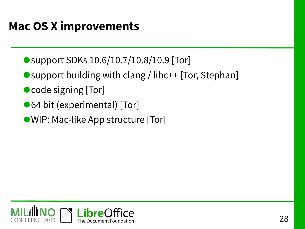#### **Mac OS X improvements**

- support SDKs 10.6/10.7/10.8/10.9 [Tor]
- support building with clang / libc++ [Tor, Stephan]
- code signing [Tor]
- ●64 bit (experimental) [Tor]
- ●WIP: Mac-like App structure [Tor]

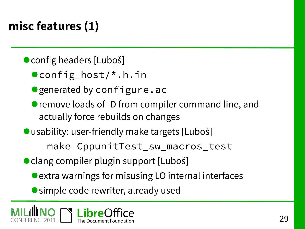## **misc features (1)**

- config headers [Luboš]
	- ●config\_host/\*.h.in
	- generated by configure.ac
	- remove loads of -D from compiler command line, and actually force rebuilds on changes
- usability: user-friendly make targets [Luboš] make CppunitTest\_sw\_macros\_test
- clang compiler plugin support [Luboš]
	- extra warnings for misusing LO internal interfaces
	- simple code rewriter, already used

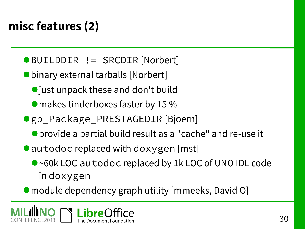## **misc features (2)**

#### ●BUILDDIR != SRCDIR [Norbert]

●binary external tarballs [Norbert]

- just unpack these and don't build
- makes tinderboxes faster by 15 %
- ●gb\_Package\_PRESTAGEDIR [Bjoern]
	- ●provide a partial build result as a "cache" and re-use it
- autodoc replaced with doxygen [mst]
	- ●~60k LOC autodoc replaced by 1k LOC of UNO IDL code in doxygen
- module dependency graph utility [mmeeks, David O]

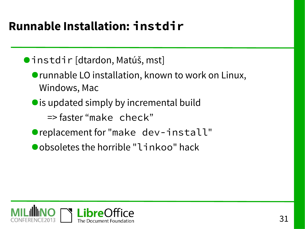### **Runnable Installation: instdir**

●instdir [dtardon, Matúš, mst]

- runnable LO installation, known to work on Linux, Windows, Mac
- ●is updated simply by incremental build
	- => faster "make check"
- ●replacement for "make dev-install"
- obsoletes the horrible "linkoo" hack

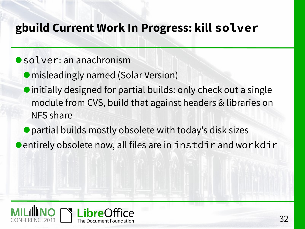#### **gbuild Current Work In Progress: kill solver**

#### ●solver: an anachronism

- misleadingly named (Solar Version)
- ●initially designed for partial builds: only check out a single module from CVS, build that against headers & libraries on NFS share
- partial builds mostly obsolete with today's disk sizes
- ●entirely obsolete now, all files are in instdir and workdir

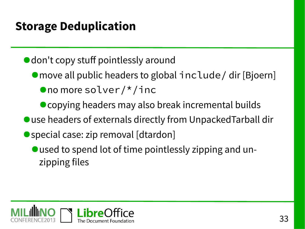#### **Storage Deduplication**

● don't copy stuff pointlessly around

- move all public headers to global include / dir [Bjoern] ●no more solver/\*/inc
	- copying headers may also break incremental builds
- use headers of externals directly from UnpackedTarball dir
- special case: zip removal [dtardon]
	- ●used to spend lot of time pointlessly zipping and unzipping files

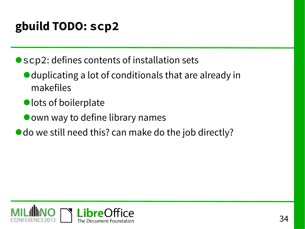#### **gbuild TODO: scp2**

● scp2: defines contents of installation sets

- duplicating a lot of conditionals that are already in makefiles
- lots of boilerplate
- own way to define library names
- do we still need this? can make do the job directly?

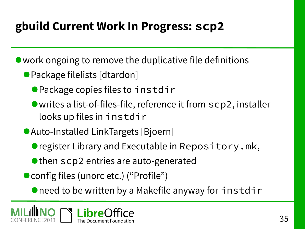#### **gbuild Current Work In Progress: scp2**

● work ongoing to remove the duplicative file definitions

- Package filelists [dtardon]
	- Package copies files to instdir
	- ●writes a list-of-files-file, reference it from scp2, installer looks up files in instdir
- Auto-Installed LinkTargets [Bjoern]
	- register Library and Executable in Repository.mk,
	- then scp2 entries are auto-generated
- config files (unorc etc.) ("Profile")
	- need to be written by a Makefile anyway for instdir

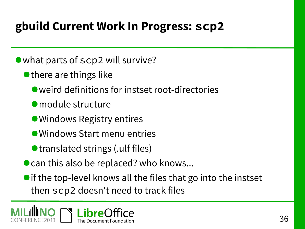#### **gbuild Current Work In Progress: scp2**

● what parts of scp2 will survive?

- there are things like
	- weird definitions for instset root-directories
	- ●module structure
	- Windows Registry entires
	- Windows Start menu entries
	- ●translated strings (.ulf files)
- can this also be replaced? who knows...
- if the top-level knows all the files that go into the instset then scp2 doesn't need to track files

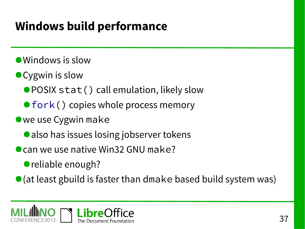### **Windows build performance**

- Windows is slow
- Cygwin is slow
	- POSIX stat() call emulation, likely slow
	- [fork](http://cygwin.com/cgi-bin/cvsweb.cgi/src/winsup/cygwin/fork.cc?rev=1.244&content-type=text/x-cvsweb-markup&cvsroot=src)() copies whole process memory
- ●we use Cygwin make
	- also has issues losing jobserver tokens
- can we use native Win32 GNU make?
	- reliable enough?

 $\bullet$  (at least gbuild is faster than dmake based build system was)

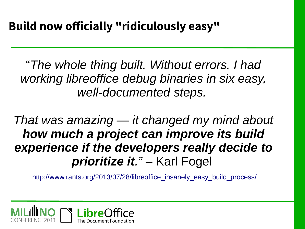"*The whole thing built. Without errors. I had working libreoffice debug binaries in six easy, well-documented steps.*

*That was amazing — it changed my mind about how much a project can improve its build experience if the developers really decide to prioritize it."* – Karl Fogel

http://www.rants.org/2013/07/28/libreoffice insanely easy build process/

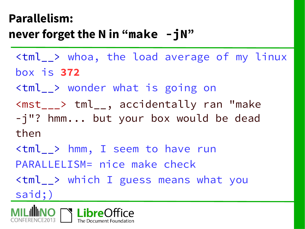#### **Parallelism: never forget the N in "make -jN"**

- <tml\_\_> whoa, the load average of my linux box is **372**
- <tml\_\_> wonder what is going on
- <mst\_\_\_> tml\_\_, accidentally ran "make -j"? hmm... but your box would be dead

then

- <tml\_\_> hmm, I seem to have run PARALLELISM= nice make check
- <tml\_\_> which I guess means what you said;)

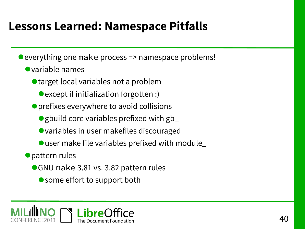#### **Lessons Learned: Namespace Pitfalls**

- everything one make process => namespace problems!
	- ●variable names
		- target local variables not a problem
			- except if initialization forgotten :)
		- ●prefixes everywhere to avoid collisions
			- gbuild core variables prefixed with gb\_
			- variables in user makefiles discouraged
			- $\bullet$  user make file variables prefixed with module
	- ●pattern rules
		- ●GNU make 3.81 vs. 3.82 pattern rules
			- some effort to support both

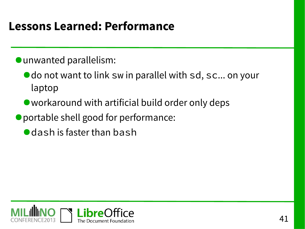#### **Lessons Learned: Performance**

- ●unwanted parallelism:
	- do not want to link sw in parallel with sd, sc... on your laptop
	- workaround with artificial build order only deps
- portable shell good for performance:
	- dash is faster than bash

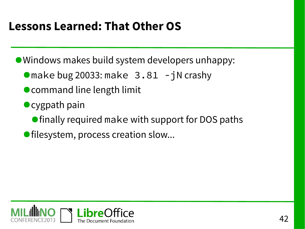#### **Lessons Learned: That Other OS**

●Windows makes build system developers unhappy:

- $\bullet$  make bug 20033: make  $3.81 jN$  crashy
- command line length limit
- cygpath pain
	- finally required make with support for DOS paths
- filesystem, process creation slow...

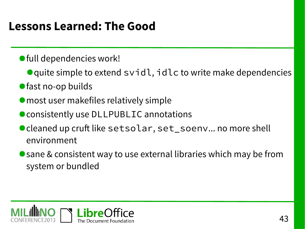#### **Lessons Learned: The Good**

- ●full dependencies work!
	- quite simple to extend svidl, idlc to write make dependencies
- fast no-op builds
- most user makefiles relatively simple
- consistently use DLLPUBLIC annotations
- cleaned up cruft like setsolar, set\_soenv... no more shell environment
- sane & consistent way to use external libraries which may be from system or bundled

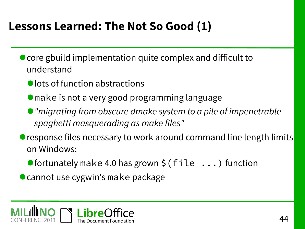#### **Lessons Learned: The Not So Good (1)**

- core gbuild implementation quite complex and difficult to understand
	- lots of function abstractions
	- ●make is not a very good programming language
	- "migrating from obscure dmake system to a pile of impenetrable spaghetti masquerading as make files"
- response files necessary to work around command line length limits on Windows:
	- $\bullet$  fortunately make 4.0 has grown \$ (file  $\ldots$ ) function
- cannot use cygwin's make package

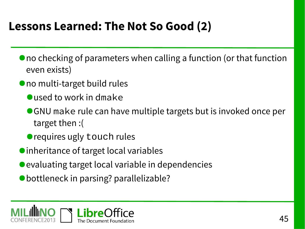#### **Lessons Learned: The Not So Good (2)**

- no checking of parameters when calling a function (or that function even exists)
- no multi-target build rules
	- used to work in dmake
	- ●GNU make rule can have multiple targets but is invoked once per target then :(
	- requires ugly touch rules
- inheritance of target local variables
- evaluating target local variable in dependencies
- bottleneck in parsing? parallelizable?